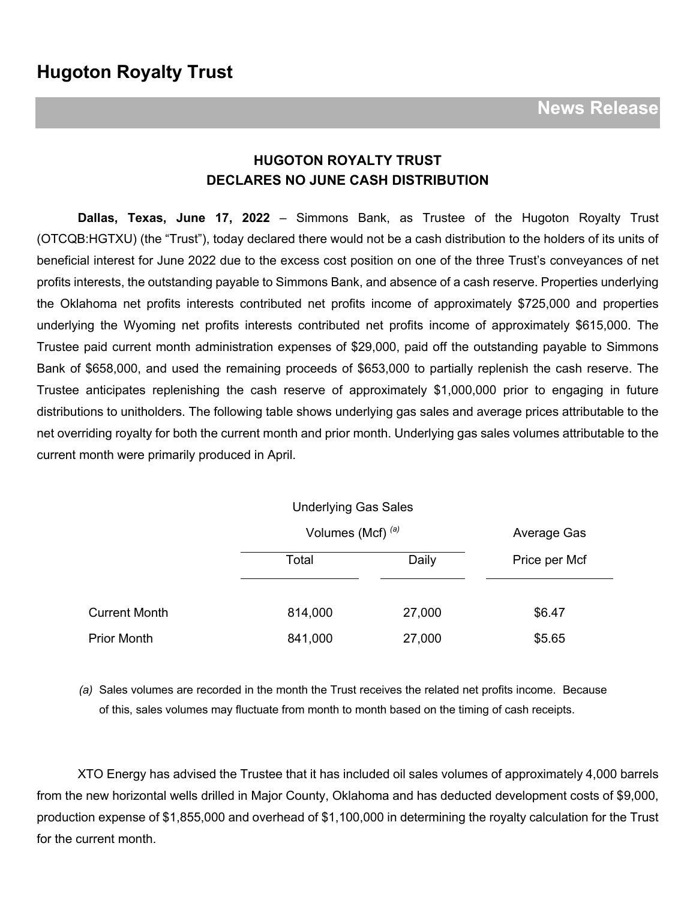### **HUGOTON ROYALTY TRUST DECLARES NO JUNE CASH DISTRIBUTION**

**Dallas, Texas, June 17, 2022** – Simmons Bank, as Trustee of the Hugoton Royalty Trust (OTCQB:HGTXU) (the "Trust"), today declared there would not be a cash distribution to the holders of its units of beneficial interest for June 2022 due to the excess cost position on one of the three Trust's conveyances of net profits interests, the outstanding payable to Simmons Bank, and absence of a cash reserve. Properties underlying the Oklahoma net profits interests contributed net profits income of approximately \$725,000 and properties underlying the Wyoming net profits interests contributed net profits income of approximately \$615,000. The Trustee paid current month administration expenses of \$29,000, paid off the outstanding payable to Simmons Bank of \$658,000, and used the remaining proceeds of \$653,000 to partially replenish the cash reserve. The Trustee anticipates replenishing the cash reserve of approximately \$1,000,000 prior to engaging in future distributions to unitholders. The following table shows underlying gas sales and average prices attributable to the net overriding royalty for both the current month and prior month. Underlying gas sales volumes attributable to the current month were primarily produced in April.

|                      | <b>Underlying Gas Sales</b>  |        |               |
|----------------------|------------------------------|--------|---------------|
|                      | Volumes (Mcf) <sup>(a)</sup> |        | Average Gas   |
|                      | Total                        | Daily  | Price per Mcf |
|                      |                              |        |               |
| <b>Current Month</b> | 814,000                      | 27,000 | \$6.47        |
| <b>Prior Month</b>   | 841,000                      | 27,000 | \$5.65        |

*(a)* Sales volumes are recorded in the month the Trust receives the related net profits income. Because of this, sales volumes may fluctuate from month to month based on the timing of cash receipts.

XTO Energy has advised the Trustee that it has included oil sales volumes of approximately 4,000 barrels from the new horizontal wells drilled in Major County, Oklahoma and has deducted development costs of \$9,000, production expense of \$1,855,000 and overhead of \$1,100,000 in determining the royalty calculation for the Trust for the current month.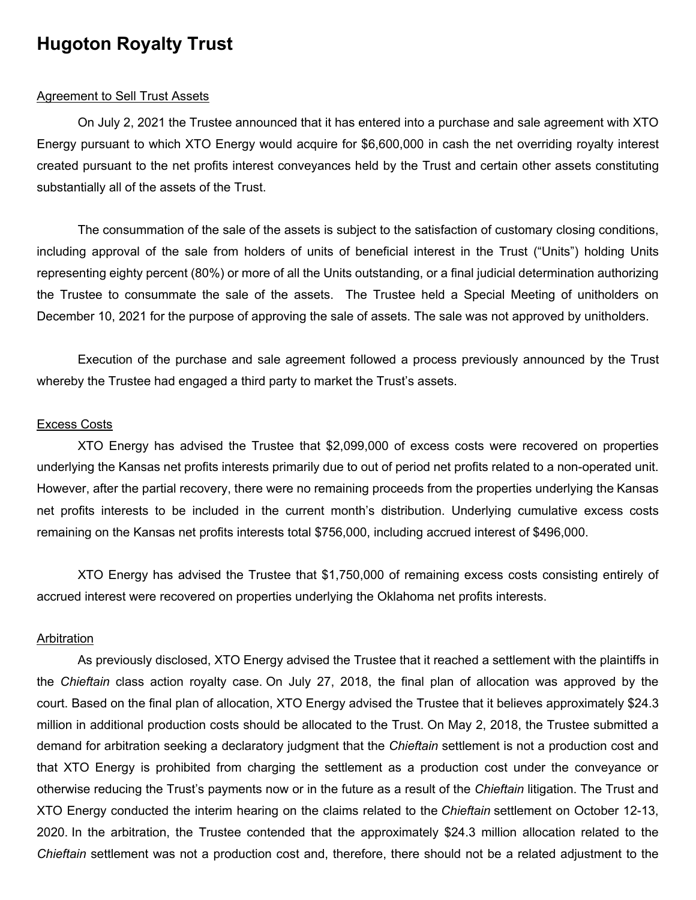## **Hugoton Royalty Trust**

#### **Agreement to Sell Trust Assets**

On July 2, 2021 the Trustee announced that it has entered into a purchase and sale agreement with XTO Energy pursuant to which XTO Energy would acquire for \$6,600,000 in cash the net overriding royalty interest created pursuant to the net profits interest conveyances held by the Trust and certain other assets constituting substantially all of the assets of the Trust.

The consummation of the sale of the assets is subject to the satisfaction of customary closing conditions, including approval of the sale from holders of units of beneficial interest in the Trust ("Units") holding Units representing eighty percent (80%) or more of all the Units outstanding, or a final judicial determination authorizing the Trustee to consummate the sale of the assets. The Trustee held a Special Meeting of unitholders on December 10, 2021 for the purpose of approving the sale of assets. The sale was not approved by unitholders.

Execution of the purchase and sale agreement followed a process previously announced by the Trust whereby the Trustee had engaged a third party to market the Trust's assets.

#### Excess Costs

XTO Energy has advised the Trustee that \$2,099,000 of excess costs were recovered on properties underlying the Kansas net profits interests primarily due to out of period net profits related to a non-operated unit. However, after the partial recovery, there were no remaining proceeds from the properties underlying the Kansas net profits interests to be included in the current month's distribution. Underlying cumulative excess costs remaining on the Kansas net profits interests total \$756,000, including accrued interest of \$496,000.

XTO Energy has advised the Trustee that \$1,750,000 of remaining excess costs consisting entirely of accrued interest were recovered on properties underlying the Oklahoma net profits interests.

#### Arbitration

As previously disclosed, XTO Energy advised the Trustee that it reached a settlement with the plaintiffs in the *Chieftain* class action royalty case. On July 27, 2018, the final plan of allocation was approved by the court. Based on the final plan of allocation, XTO Energy advised the Trustee that it believes approximately \$24.3 million in additional production costs should be allocated to the Trust. On May 2, 2018, the Trustee submitted a demand for arbitration seeking a declaratory judgment that the *Chieftain* settlement is not a production cost and that XTO Energy is prohibited from charging the settlement as a production cost under the conveyance or otherwise reducing the Trust's payments now or in the future as a result of the *Chieftain* litigation. The Trust and XTO Energy conducted the interim hearing on the claims related to the *Chieftain* settlement on October 12-13, 2020. In the arbitration, the Trustee contended that the approximately \$24.3 million allocation related to the *Chieftain* settlement was not a production cost and, therefore, there should not be a related adjustment to the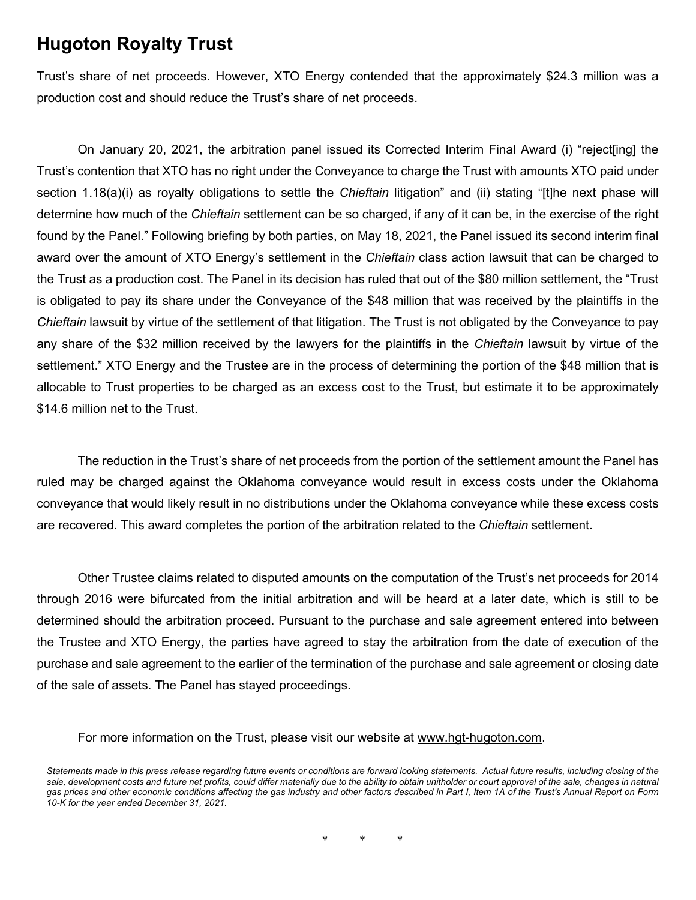## **Hugoton Royalty Trust**

Trust's share of net proceeds. However, XTO Energy contended that the approximately \$24.3 million was a production cost and should reduce the Trust's share of net proceeds.

On January 20, 2021, the arbitration panel issued its Corrected Interim Final Award (i) "reject[ing] the Trust's contention that XTO has no right under the Conveyance to charge the Trust with amounts XTO paid under section 1.18(a)(i) as royalty obligations to settle the *Chieftain* litigation" and (ii) stating "[t]he next phase will determine how much of the *Chieftain* settlement can be so charged, if any of it can be, in the exercise of the right found by the Panel." Following briefing by both parties, on May 18, 2021, the Panel issued its second interim final award over the amount of XTO Energy's settlement in the *Chieftain* class action lawsuit that can be charged to the Trust as a production cost. The Panel in its decision has ruled that out of the \$80 million settlement, the "Trust is obligated to pay its share under the Conveyance of the \$48 million that was received by the plaintiffs in the *Chieftain* lawsuit by virtue of the settlement of that litigation. The Trust is not obligated by the Conveyance to pay any share of the \$32 million received by the lawyers for the plaintiffs in the *Chieftain* lawsuit by virtue of the settlement." XTO Energy and the Trustee are in the process of determining the portion of the \$48 million that is allocable to Trust properties to be charged as an excess cost to the Trust, but estimate it to be approximately \$14.6 million net to the Trust.

The reduction in the Trust's share of net proceeds from the portion of the settlement amount the Panel has ruled may be charged against the Oklahoma conveyance would result in excess costs under the Oklahoma conveyance that would likely result in no distributions under the Oklahoma conveyance while these excess costs are recovered. This award completes the portion of the arbitration related to the *Chieftain* settlement.

Other Trustee claims related to disputed amounts on the computation of the Trust's net proceeds for 2014 through 2016 were bifurcated from the initial arbitration and will be heard at a later date, which is still to be determined should the arbitration proceed. Pursuant to the purchase and sale agreement entered into between the Trustee and XTO Energy, the parties have agreed to stay the arbitration from the date of execution of the purchase and sale agreement to the earlier of the termination of the purchase and sale agreement or closing date of the sale of assets. The Panel has stayed proceedings.

For more information on the Trust, please visit our website at www.hgt-hugoton.com.

\* \* \*

*Statements made in this press release regarding future events or conditions are forward looking statements. Actual future results, including closing of the* sale, development costs and future net profits, could differ materially due to the ability to obtain unitholder or court approval of the sale, changes in natural *gas prices and other economic conditions affecting the gas industry and other factors described in Part I, Item 1A of the Trust's Annual Report on Form 10-K for the year ended December 31, 2021.*